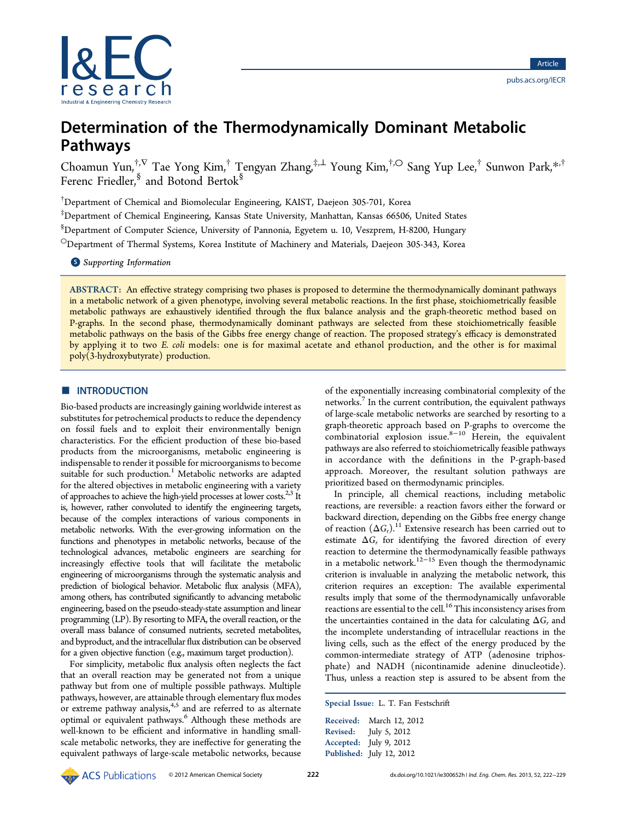

# Determination of the Thermodynamically Dominant Metabolic Pathways

Choamun Yun,†,<sup>∇</sup> Tae Yong Kim,† Tengyan Zhang,‡,<sup>⊥</sup> Young Kim,†,○ Sang Yup Lee,† Sunwon Park,\*,† Ferenc Friedler,<sup>§</sup> [a](#page-7-0)nd Botond Bertok<sup>§</sup>

† Department of Chemical and Biomolecular Engineering, KAIST, Daejeon 305-701, Korea

‡ Department of Chemical Engineering, Kansas State University, Manhattan, Kansas 66506, United States

§ Department of Computer Science, University of Pannonia, Egyetem u. 10, Veszprem, H-8200, Hungary

 $^\circ$ Department of Thermal Systems, Korea Institute of Machinery and Materials, Daejeon 305-343, Korea

**S** Supporting Information

[ABSTRACT:](#page-7-0) An effective strategy comprising two phases is proposed to determine the thermodynamically dominant pathways in a metabolic network of a given phenotype, involving several metabolic reactions. In the first phase, stoichiometrically feasible metabolic pathways are exhaustively identified through the flux balance analysis and the graph-theoretic method based on P-graphs. In the second phase, thermodynamically dominant pathways are selected from these stoichiometrically feasible metabolic pathways on the basis of the Gibbs free energy change of reaction. The proposed strategy's efficacy is demonstrated by applying it to two E. coli models: one is for maximal acetate and ethanol production, and the other is for maximal poly(3-hydroxybutyrate) production.

# **NO INTRODUCTION**

Bio-based products are increasingly gaining worldwide interest as substitutes for petrochemical products to reduce the dependency on fossil fuels and to exploit their environmentally benign characteristics. For the efficient production of these bio-based products from the microorganisms, metabolic engineering is indispensable to render it possible for microorganisms to become suitable for such production.<sup>1</sup> Metabolic networks are adapted for the altered objectives in metabolic engineering with a variety of approaches to achieve the hi[gh](#page-7-0)-yield processes at lower costs.<sup>2,3</sup> It is, however, rather convoluted to identify the engineering targets, because of the complex interactions of various componen[ts](#page-7-0) in metabolic networks. With the ever-growing information on the functions and phenotypes in metabolic networks, because of the technological advances, metabolic engineers are searching for increasingly effective tools that will facilitate the metabolic engineering of microorganisms through the systematic analysis and prediction of biological behavior. Metabolic flux analysis (MFA), among others, has contributed significantly to advancing metabolic engineering, based on the pseudo-steady-state assumption and linear programming (LP). By resorting to MFA, the overall reaction, or the overall mass balance of consumed nutrients, secreted metabolites, and byproduct, and the intracellular flux distribution can be observed for a given objective function (e.g., maximum target production).

For simplicity, metabolic flux analysis often neglects the fact that an overall reaction may be generated not from a unique pathway but from one of multiple possible pathways. Multiple pathways, however, are attainable through elementary flux modes or extreme pathway analysis, $4.5$  and are referred to as alternate optimal or equivalent pathways.<sup>6</sup> Although these methods are well-known to be efficient [and](#page-7-0) informative in handling smallscale metabolic networks, they a[re](#page-7-0) ineffective for generating the equivalent pathways of large-scale metabolic networks, because

of the exponentially increasing combinatorial complexity of the networks.<sup>7</sup> In the current contribution, the equivalent pathways of large-scale metabolic networks are searched by resorting to a graph-the[o](#page-7-0)retic approach based on P-graphs to overcome the combinatorial explosion issue. $8-10$  Herein, the equivalent pathways are also referred to stoichiometrically feasible pathways in accordance with the defi[nit](#page-7-0)i[on](#page-7-0)s in the P-graph-based approach. Moreover, the resultant solution pathways are prioritized based on thermodynamic principles.

In principle, all chemical reactions, including metabolic reactions, are reversible: a reaction favors either the forward or backward direction, depending on the Gibbs free energy change of reaction  $(\Delta G_r)$ .<sup>11</sup> Extensive research has been carried out to estimate  $\Delta G_r$  for identifying the favored direction of every reaction to deter[min](#page-7-0)e the thermodynamically feasible pathways in a metabolic network.12−<sup>15</sup> Even though the thermodynamic criterion is invaluable in analyzing the metabolic network, this criterion requires an [except](#page-7-0)ion: The available experimental results imply that some of the thermodynamically unfavorable reactions are essential to the cell.<sup>16</sup> This inconsistency arises from the uncertainties contained in the data for calculating  $\Delta G_r$  and the incomplete understanding [of](#page-7-0) intracellular reactions in the living cells, such as the effect of the energy produced by the common-intermediate strategy of ATP (adenosine triphosphate) and NADH (nicontinamide adenine dinucleotide). Thus, unless a reaction step is assured to be absent from the

Special Issue: L. T. Fan Festschrift

```
Received: March 12, 2012
Revised: July 5, 2012
Accepted: July 9, 2012
Published: July 12, 2012
```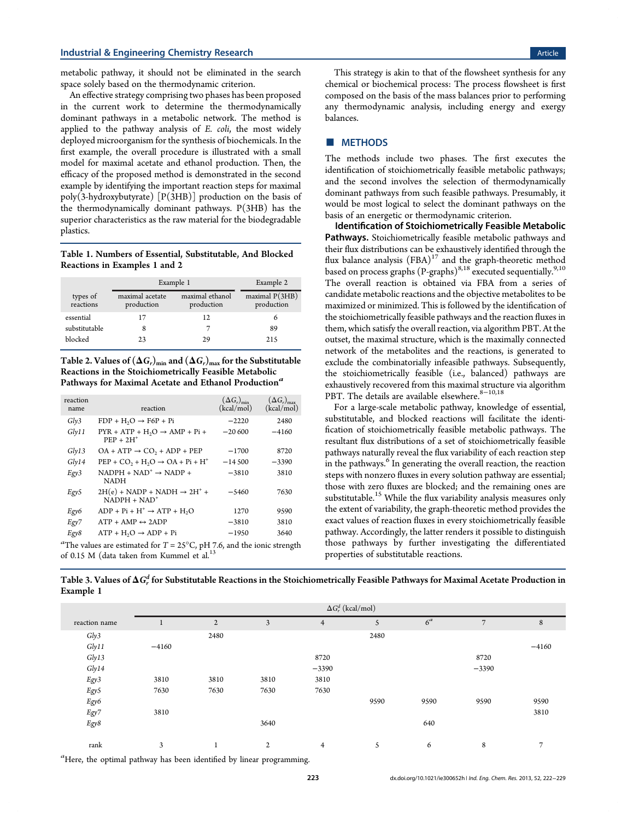<span id="page-1-0"></span>metabolic pathway, it should not be eliminated in the search space solely based on the thermodynamic criterion.

An effective strategy comprising two phases has been proposed in the current work to determine the thermodynamically dominant pathways in a metabolic network. The method is applied to the pathway analysis of E. coli, the most widely deployed microorganism for the synthesis of biochemicals. In the first example, the overall procedure is illustrated with a small model for maximal acetate and ethanol production. Then, the efficacy of the proposed method is demonstrated in the second example by identifying the important reaction steps for maximal poly(3-hydroxybutyrate) [P(3HB)] production on the basis of the thermodynamically dominant pathways. P(3HB) has the superior characteristics as the raw material for the biodegradable plastics.

Table 1. Numbers of Essential, Substitutable, And Blocked Reactions in Examples 1 and 2

|                       | Example 1                     | Example 2                     |                                |
|-----------------------|-------------------------------|-------------------------------|--------------------------------|
| types of<br>reactions | maximal acetate<br>production | maximal ethanol<br>production | maximal $P(3HB)$<br>production |
| essential             | 17                            | 12.                           | 6                              |
| substitutable         |                               |                               | 89                             |
| blocked               | 23                            | 29                            | 215                            |

Table 2. Values of  $(\Delta G_r)_{\text{min}}$  and  $(\Delta G_r)_{\text{max}}$  for the Substitutable Reactions in the Stoichiometrically Feasible Metabolic Pathways for Maximal Acetate and Ethanol Production<sup>a</sup>

| reaction<br>name                                                                           | reaction                                                                | $(\Delta G_r)_{\text{min}}$<br>(kcal/mol) | $(\Delta G_r)_{\text{max}}$<br>(kcal/mol) |  |  |  |
|--------------------------------------------------------------------------------------------|-------------------------------------------------------------------------|-------------------------------------------|-------------------------------------------|--|--|--|
| Gly3                                                                                       | $FDP + H2O \rightarrow F6P + Pi$                                        | $-2220$                                   | 2480                                      |  |  |  |
| Gly11                                                                                      | $PYR + ATP + H2O \rightarrow AMP + Pi +$<br>$PEP + 2H^+$                | $-20600$                                  | $-4160$                                   |  |  |  |
| Gly13                                                                                      | $OA + ATP \rightarrow CO_2 + ADP + PEP$                                 | $-1700$                                   | 8720                                      |  |  |  |
| Gly14                                                                                      | $PEP + CO_2 + H_2O \rightarrow OA + Pi + H^+$                           | $-14,500$                                 | $-3390$                                   |  |  |  |
| Egy3                                                                                       | NADPH + $NAD^+$ $\rightarrow$ NADP +<br><b>NADH</b>                     | $-3810$                                   | 3810                                      |  |  |  |
| Egy5                                                                                       | $2H(e)$ + NADP + NADH $\rightarrow$ 2H <sup>+</sup> +<br>$NADPH + NAD+$ | $-5460$                                   | 7630                                      |  |  |  |
| Egy6                                                                                       | $ADP + Pi + H^+ \rightarrow ATP + H_2O$                                 | 1270                                      | 9590                                      |  |  |  |
| Egy7                                                                                       | $ATP + AMP \leftrightarrow 2ADP$                                        | $-3810$                                   | 3810                                      |  |  |  |
| Egy8                                                                                       | $ATP + H2O \rightarrow ADP + Pi$                                        | $-1950$                                   | 3640                                      |  |  |  |
| <sup>a</sup> The values are estimated for $T = 25^{\circ}$ C nH 7.6 and the ionic strength |                                                                         |                                           |                                           |  |  |  |

The values are estimated for  $T = 25^{\circ}$ C, pH 7.6, and the ionic strength of 0.15 M (data taken from Kummel et al.<sup>13</sup>

This strategy is akin to that of the flowsheet synthesis for any chemical or biochemical process: The process flowsheet is first composed on the basis of the mass balances prior to performing any thermodynamic analysis, including energy and exergy balances.

# ■ METHODS

The methods include two phases. The first executes the identification of stoichiometrically feasible metabolic pathways; and the second involves the selection of thermodynamically dominant pathways from such feasible pathways. Presumably, it would be most logical to select the dominant pathways on the basis of an energetic or thermodynamic criterion.

Identification of Stoichiometrically Feasible Metabolic Pathways. Stoichiometrically feasible metabolic pathways and their flux distributions can be exhaustively identified through the flux balance analysis  $(FBA)^{17}$  and the graph-theoretic method based on process graphs  $(P\text{-graphs})^{8,18}$  executed sequentially.<sup>9,10</sup> The overall reaction is o[bta](#page-7-0)ined via FBA from a series of candidate metabolic reactions and t[he o](#page-7-0)bjective metabolites t[o be](#page-7-0) maximized or minimized. This is followed by the identification of the stoichiometrically feasible pathways and the reaction fluxes in them, which satisfy the overall reaction, via algorithm PBT. At the outset, the maximal structure, which is the maximally connected network of the metabolites and the reactions, is generated to exclude the combinatorially infeasible pathways. Subsequently, the stoichiometrically feasible (i.e., balanced) pathways are exhaustively recovered from this maximal structure via algorithm PBT. The details are available elsewhere.<sup>8−10,18</sup>

For a large-scale metabolic pathway, knowledge of essential, substitutable, and blocked reactions wi[ll facili](#page-7-0)tate the identification of stoichiometrically feasible metabolic pathways. The resultant flux distributions of a set of stoichiometrically feasible pathways naturally reveal the flux variability of each reaction step in the pathways.<sup>6</sup> In generating the overall reaction, the reaction steps with nonzero fluxes in every solution pathway are essential; those with zero [fl](#page-7-0)uxes are blocked; and the remaining ones are substitutable.<sup>15</sup> While the flux variability analysis measures only the extent of variability, the graph-theoretic method provides the exact values [of r](#page-7-0)eaction fluxes in every stoichiometrically feasible pathway. Accordingly, the latter renders it possible to distinguish those pathways by further investigating the differentiated properties of substitutable reactions.

Ta[ble](#page-7-0) 3. Values of  $\Delta G^d_r$  for Substitutable Reactions in the Stoichiometrically Feasible Pathways for Maximal Acetate Production in Example 1

|               | $\Delta G_r^d$ (kcal/mol) |                |      |                |      |       |         |         |
|---------------|---------------------------|----------------|------|----------------|------|-------|---------|---------|
| reaction name |                           | $\overline{2}$ | 3    | $\overline{4}$ | 5    | $6^a$ | 7       | 8       |
| Gly3          |                           | 2480           |      |                | 2480 |       |         |         |
| Gly11         | $-4160$                   |                |      |                |      |       |         | $-4160$ |
| Gly13         |                           |                |      | 8720           |      |       | 8720    |         |
| Gly14         |                           |                |      | $-3390$        |      |       | $-3390$ |         |
| Egy3          | 3810                      | 3810           | 3810 | 3810           |      |       |         |         |
| Egy5          | 7630                      | 7630           | 7630 | 7630           |      |       |         |         |
| Egy6          |                           |                |      |                | 9590 | 9590  | 9590    | 9590    |
| Egy7          | 3810                      |                |      |                |      |       |         | 3810    |
| Egy8          |                           |                | 3640 |                |      | 640   |         |         |
| rank          | 3                         | $\mathbf{1}$   | 2    | $\overline{4}$ | 5    | 6     | 8       | 7       |

<sup>a</sup>Here, the optimal pathway has been identified by linear programming.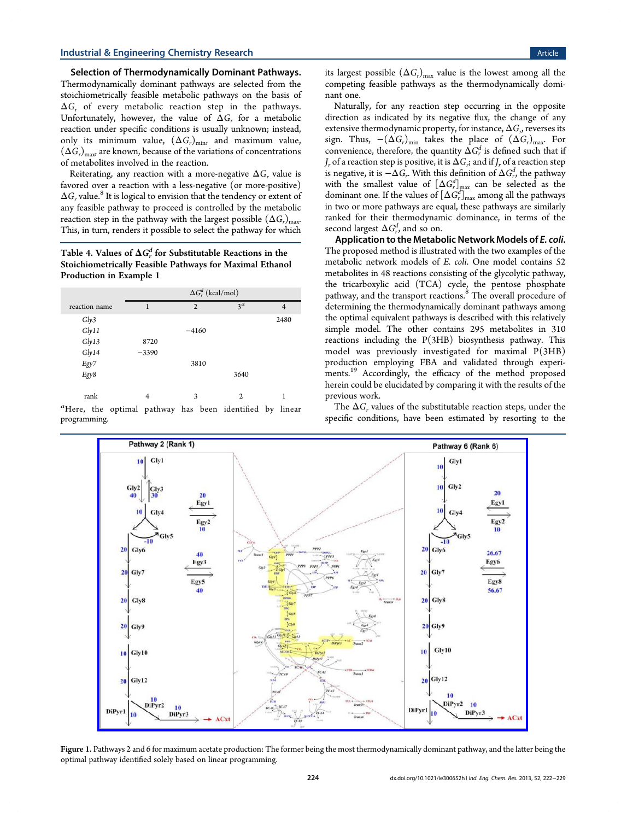<span id="page-2-0"></span>Selection of Thermodynamically Dominant Pathways. Thermodynamically dominant pathways are selected from the stoichiometrically feasible metabolic pathways on the basis of  $\Delta G_r$  of every metabolic reaction step in the pathways. Unfortunately, however, the value of  $\Delta G_r$  for a metabolic reaction under specific conditions is usually unknown; instead, only its minimum value,  $(\Delta G_r)_{\text{min}}$ , and maximum value,  $(\Delta G_r)_{\text{max}}$  are known, because of the variations of concentrations of metabolites involved in the reaction.

Reiterating, any reaction with a more-negative  $\Delta G_r$  value is favored over a reaction with a less-negative (or more-positive)  $\Delta G_r$  value.<sup>8</sup> It is logical to envision that the tendency or extent of any feasible pathway to proceed is controlled by the metabolic r[e](#page-7-0)action step in the pathway with the largest possible  $(\Delta G_r)_{\text{max}}$ . This, in turn, renders it possible to select the pathway for which

Table 4. Values of  $\Delta G^d_r$  for Substitutable Reactions in the Stoichiometrically Feasible Pathways for Maximal Ethanol Production in Example 1

|               | $\Delta G_r^d$ (kcal/mol) |                |       |      |
|---------------|---------------------------|----------------|-------|------|
| reaction name |                           | $\mathfrak{p}$ | $3^a$ | 4    |
| Gly3          |                           |                |       | 2480 |
| Gly11         |                           | $-4160$        |       |      |
| Gly13         | 8720                      |                |       |      |
| Gly14         | $-3390$                   |                |       |      |
| Egy7          |                           | 3810           |       |      |
| Egy8          |                           |                | 3640  |      |
|               |                           |                |       |      |

rank 4 3 2 1  $a^a$ Here, the optimal pathway has been identified by linear programming.

its largest possible  $(\Delta G_r)_{\text{max}}$  value is the lowest among all the competing feasible pathways as the thermodynamically dominant one.

Naturally, for any reaction step occurring in the opposite direction as indicated by its negative flux, the change of any extensive thermodynamic property, for instance,  $\Delta G_r$  reverses its sign. Thus,  $-(\Delta G_r)_{\text{min}}$  takes the place of  $(\Delta G_r)_{\text{max}}$ . For convenience, therefore, the quantity  $\Delta G_r^d$  is defined such that if  $J_r$  of a reaction step is positive, it is  $\Delta G_r$ ; and if  $J_r$  of a reaction step is negative, it is  $-\Delta G_r$ . With this definition of  $\Delta G_r^d$ , the pathway with the smallest value of  $[\Delta G_r^d]_{\textrm{max}}$  can be selected as the dominant one. If the values of  $[\Delta G^d_r]_{\rm max}$  among all the pathways in two or more pathways are equal, these pathways are similarly ranked for their thermodynamic dominance, in terms of the second largest  $\Delta G_r^d$ , and so on.

Application to the Metabolic Network Models of E. coli. The proposed method is illustrated with the two examples of the metabolic network models of E. coli. One model contains 52 metabolites in 48 reactions consisting of the glycolytic pathway, the tricarboxylic acid (TCA) cycle, the pentose phosphate pathway, and the transport reactions.<sup>8</sup> The overall procedure of determining the thermodynamically dominant pathways among the optimal equivalent pathways is d[es](#page-7-0)cribed with this relatively simple model. The other contains 295 metabolites in 310 reactions including the P(3HB) biosynthesis pathway. This model was previously investigated for maximal P(3HB) production employing FBA and validated through experiments.<sup>19</sup> Accordingly, the efficacy of the method proposed herein could be elucidated by comparing it with the results of the previo[us](#page-7-0) work.

The  $\Delta G_r$  values of the substitutable reaction steps, under the specific conditions, have been estimated by resorting to the



Figure 1. P[athways 2 and 6 for maximum acetate production: The former being the most thermodynamically dominant pathway, and the latt](http://pubs.acs.org/action/showImage?doi=10.1021/ie300652h&iName=master.img-000.jpg&w=424&h=287)er being the optimal pathway identified solely based on linear programming.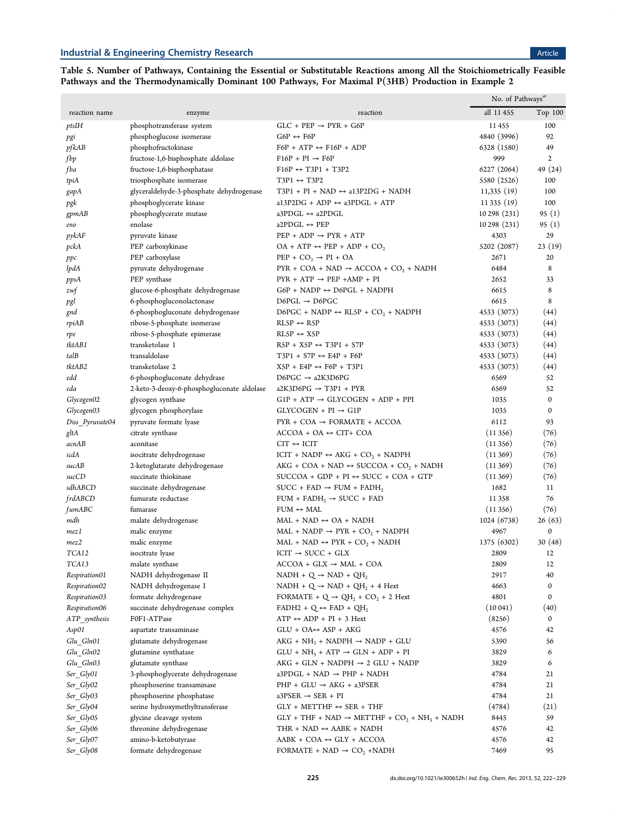# <span id="page-3-0"></span>Table 5. Number of Pathways, Containing the Essential or Substitutable Reactions among All the Stoichiometrically Feasible Pathways and the Thermodynamically Dominant 100 Pathways, For Maximal P(3HB) Production in Example 2

|                 |                                            |                                                           |              | No. of Pathways <sup><math>a</math></sup> |
|-----------------|--------------------------------------------|-----------------------------------------------------------|--------------|-------------------------------------------|
| reaction name   | enzyme                                     | reaction                                                  | all 11 455   | Top 100                                   |
| ptsIH           | phosphotransferase system                  | $GLC + PEP \rightarrow PYR + G6P$                         | 11455        | 100                                       |
| pgi             | phosphoglucose isomerase                   | $G6P \leftrightarrow F6P$                                 | 4840 (3996)  | 92                                        |
| pfkAB           | phosphofructokinase                        | $F6P + ATP \leftrightarrow F16P + ADP$                    | 6328 (1580)  | 49                                        |
| fbp             | fructose-1,6-bisphosphate aldolase         | $F16P + PI \rightarrow F6P$                               | 999          | 2                                         |
| fba             | fructose-1,6-bisphosphatase                | $F16P \leftrightarrow T3P1 + T3P2$                        | 6227 (2064)  | 49 (24)                                   |
| tpiA            | triosphosphate isomerase                   | $T3P1 \leftrightarrow T3P2$                               | 5580 (2526)  | 100                                       |
| gapA            | glyceraldehyde-3-phosphate dehydrogenase   | $T3P1 + PI + NAD \leftrightarrow a13P2DG + NADH$          | 11,335(19)   | 100                                       |
| p g k           | phosphoglycerate kinase                    | $a13P2DG + ADP \leftrightarrow a3PDGL + ATP$              | 11335(19)    | 100                                       |
| gpmAB           | phosphoglycerate mutase                    | a3PDGL $\leftrightarrow$ a2PDGL                           | 10 298 (231) | 95(1)                                     |
| eno             | enolase                                    | a2PDGL $\leftrightarrow$ PEP                              | 10 298 (231) | 95(1)                                     |
| pykAF           | pyruvate kinase                            | $PEP + ADP \rightarrow PYR + ATP$                         | 4303         | 29                                        |
| pckA            | PEP carboxykinase                          | $OA + ATP \leftrightarrow PEP + ADP + CO_2$               | 5202 (2087)  | 23(19)                                    |
| ppc             | PEP carboxylase                            | $PEP + CO_2 \rightarrow PI + OA$                          | 2671         | 20                                        |
| lpdA            | pyruvate dehydrogenase                     | $PYR + COA + NAD \rightarrow ACCOA + CO2 + NADH$          | 6484         | 8                                         |
| ppsA            | PEP synthase                               | $PYR + ATP \rightarrow PEP +AMP + PI$                     | 2652         | 33                                        |
| zwf             | glucose-6-phosphate dehydrogenase          | $G6P + NADP \leftrightarrow D6PGL + NADPH$                | 6615         | 8                                         |
| pgl             | 6-phosphogluconolactonase                  | $D6PGL \rightarrow D6PGC$                                 | 6615         | 8                                         |
| gnd             | 6-phosphogluconate dehydrogenase           | $D6PGC + NADP \leftrightarrow RLSP + CO_2 + NADPH$        | 4533 (3073)  | (44)                                      |
| rpiAB           | ribose-5-phosphate isomerase               | $RLSP \leftrightarrow RSP$                                | 4533 (3073)  | (44)                                      |
| rpe             | ribose-5-phosphate epimerase               | $RLSP \leftrightarrow XSP$                                | 4533 (3073)  | (44)                                      |
| tktAB1          | transketolase 1                            | $R5P + X5P \leftrightarrow T3P1 + S7P$                    | 4533 (3073)  | (44)                                      |
| talB            | transaldolase                              | $T3P1 + STP \leftrightarrow E4P + F6P$                    | 4533 (3073)  | (44)                                      |
| tktAB2          | transketolase 2                            | $X5P + E4P \leftrightarrow F6P + T3P1$                    | 4533 (3073)  | (44)                                      |
| edd             | 6-phosphogluconate dehydrase               | $D6PGC \rightarrow a2K3D6PG$                              | 6569         | 52                                        |
| eda             | 2-keto-3-deoxy-6-phosphogluconate aldolase | $a2K3D6PG \rightarrow T3P1 + PYR$                         | 6569         | 52                                        |
| Glycogen02      | glycogen synthase                          | $G1P + ATP \rightarrow GLYCOGEN + ADP + PPI$              | 1035         | $\mathbf 0$                               |
| Glycogen03      | glycogen phosphorylase                     | $GLYCOGEN + PI \rightarrow G1P$                           | 1035         | $\mathbf 0$                               |
| Diss Pyruvate04 | pyruvate formate lyase                     | $PYR + COA \rightarrow FORMATE + ACCOA$                   | 6112         | 93                                        |
| gltA            | citrate synthase                           | $ACCOA + OA \leftrightarrow CIT + COA$                    | (11356)      | (76)                                      |
| acnAB           | aconitase                                  | $CIT \leftrightarrow ICIT$                                | (11356)      | (76)                                      |
| icdA            | isocitrate dehydrogenase                   | $ICIT + NADP \leftrightarrow AKG + CO2 + NADPH$           | (11369)      | (76)                                      |
| sucAB           | 2-ketoglutarate dehydrogenase              | $AKG + COA + NAD \leftrightarrow SUCCOA + CO2 + NADH$     | (11369)      | (76)                                      |
| sucCD           | succinate thiokinase                       | $SUCCOA + GDP + PI \leftrightarrow SUCC + COA + GTP$      | (11369)      | (76)                                      |
| sdhABCD         | succinate dehydrogenase                    | $SUCC + FAD \rightarrow FUM + FADH_2$                     | 1682         | 11                                        |
| frdABCD         | fumurate reductase                         | $FUM + FADH_2 \rightarrow SUCC + FAD$                     | 11 358       | 76                                        |
| fumABC          | fumarase                                   | $FUM \leftrightarrow MAL$                                 | (11356)      | (76)                                      |
| mdh             | malate dehydrogenase                       | $MAL + NAD \leftrightarrow OA + NADH$                     | 1024 (6738)  | 26(63)                                    |
| mez1            | malic enzyme                               | $MAL + NADP \rightarrow PYR + CO_2 + NADPH$               | 4967         | 0                                         |
| mez2            | malic enzyme                               | $MAL + NAD \leftrightarrow PYR + CO_2 + NADH$             | 1375 (6302)  | 30(48)                                    |
| TCA12           | isocitrate lyase                           | $ICIT \rightarrow SUCC + GLX$                             | 2809         | 12                                        |
| TCA13           | malate synthase                            | $ACCOA + GLX \rightarrow MAL + COA$                       | 2809         | 12                                        |
| Respiration01   | NADH dehydrogenase II                      | NADH + $Q \rightarrow NAD + QH_2$                         | 2917         | 40                                        |
| Respiration02   | NADH dehydrogenase I                       | NADH + $Q \rightarrow NAD + QH_2 + 4$ Hext                | 4663         | 0                                         |
| Respiration03   | formate dehydrogenase                      | FORMATE + $Q \rightarrow QH_2 + CO_2 + 2$ Hext            | 4801         | $\boldsymbol{0}$                          |
| Respiration06   | succinate dehydrogenase complex            | $FADH2 + Q \leftrightarrow FAD + QH_2$                    | (10041)      | (40)                                      |
| ATP_synthesis   | F0F1-ATPase                                | $ATP \leftrightarrow ADP + PI + 3$ Hext                   | (8256)       | 0                                         |
| Asp01           | aspartate transaminase                     | $GLU + OA \leftrightarrow ASP + AKG$                      | 4576         | 42                                        |
| Glu_Gln01       | glutamate dehydrogenase                    | $AKG + NH_3 + NADPH \rightarrow NADP + GLU$               | 5390         | 56                                        |
| Glu_Gln02       | glutamine synthatase                       | $GLU + NH_3 + ATP \rightarrow GLN + ADP + PI$             | 3829         | 6                                         |
| Glu_Gln03       | glutamate synthase                         | $AKG + GLN + NADPH \rightarrow 2 GLU + NADP$              | 3829         | 6                                         |
| $Ser_Gly01$     | 3-phosphoglycerate dehydrogenase           | $a3PDGL + NAD \rightarrow PHP + NADH$                     | 4784         | 21                                        |
| Ser_Gly02       | phosphoserine transaminase                 | $PHP + GLU \rightarrow AKG + a3PSER$                      | 4784         | 21                                        |
| Ser_Gly03       | phosphoserine phosphatase                  | $a3PSER \rightarrow SER + PI$                             | 4784         | 21                                        |
| Ser_Gly04       | serine hydroxymethyltransferase            | $GLY + METTHF \leftrightarrow SER + THF$                  | (4784)       | (21)                                      |
| Ser_Gly05       | glycine cleavage system                    | $GLY + THF + NAD \rightarrow METTHF + CO_2 + NH_3 + NADH$ | 8445         | 59                                        |
| Ser_Gly06       | threonine dehydrogenase                    | THR + NAD $\leftrightarrow$ AABK + NADH                   | 4576         | 42                                        |
| Ser_Gly07       | amino-b-ketobutyrase                       | $AABK + COA \leftrightarrow GLY + ACCOA$                  | 4576         | 42                                        |
| Ser_Gly08       | formate dehydrogenase                      | FORMATE + NAD $\rightarrow$ CO <sub>2</sub> +NADH         | 7469         | 95                                        |
|                 |                                            |                                                           |              |                                           |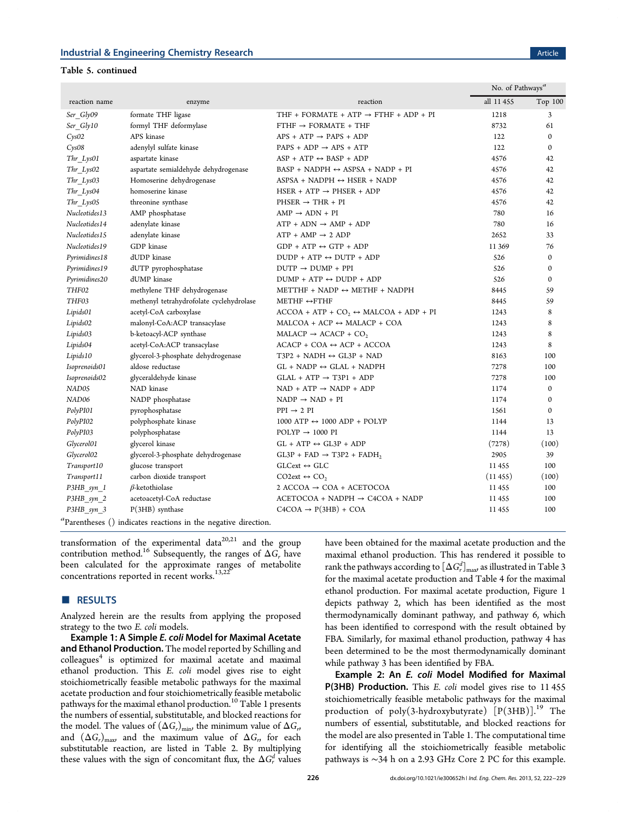#### <span id="page-4-0"></span>Table 5. continued

|                    |                                                                                   |                                                                                                  | No. of Pathways <sup>a</sup> |                  |
|--------------------|-----------------------------------------------------------------------------------|--------------------------------------------------------------------------------------------------|------------------------------|------------------|
| reaction name      | enzyme                                                                            | reaction                                                                                         | all 11455                    | Top 100          |
| Ser_Gly09          | formate THF ligase                                                                | THF + FORMATE + ATP $\rightarrow$ FTHF + ADP + PI                                                | 1218                         | 3                |
| Ser_Gly10          | formyl THF deformylase                                                            | $FTHF \rightarrow FORMATE + THF$                                                                 | 8732                         | 61               |
| C <sub>ys</sub> 02 | APS kinase                                                                        | $APS + ATP \rightarrow PAPS + ADP$                                                               | 122                          | $\mathbf{0}$     |
| C <sub>ys08</sub>  | adenylyl sulfate kinase                                                           | $PAPS + ADP \rightarrow APS + ATP$                                                               | 122                          | $\mathbf 0$      |
| Thr Lys01          | aspartate kinase                                                                  | $ASP + ATP \leftrightarrow BASP + ADP$                                                           | 4576                         | 42               |
| Thr Lys02          | aspartate semialdehyde dehydrogenase                                              | $\text{BASP + NADPH} \leftrightarrow \text{ASPSA + NADP + PI}$                                   | 4576                         | 42               |
| Thr Lys03          | Homoserine dehydrogenase                                                          | $ASPSA + NADPH \leftrightarrow HSER + NADP$                                                      | 4576                         | 42               |
| Thr Lys04          | homoserine kinase                                                                 | $HSER + ATP \rightarrow PHSER + ADP$                                                             | 4576                         | 42               |
| Thr Lys05          | threonine synthase                                                                | $PHSER \rightarrow THR + PI$                                                                     | 4576                         | 42               |
| Nucleotides13      | AMP phosphatase                                                                   | $AMP \rightarrow ADN + PI$                                                                       | 780                          | 16               |
| Nucleotides14      | adenylate kinase                                                                  | $ATP + ADN \rightarrow AMP + ADP$                                                                | 780                          | 16               |
| Nucleotides15      | adenylate kinase                                                                  | $ATP + AMP \rightarrow 2 ADP$                                                                    | 2652                         | 33               |
| Nucleotides19      | GDP kinase                                                                        | $GDP + ATP \leftrightarrow GTP + ADP$                                                            | 11 369                       | 76               |
| Pyrimidines18      | dUDP kinase                                                                       | $DUDP + ATP \leftrightarrow DUTP + ADP$                                                          | 526                          | $\boldsymbol{0}$ |
| Pyrimidines19      | dUTP pyrophosphatase                                                              | $DUTP \rightarrow DUMP + PPI$                                                                    | 526                          | $\mathbf{0}$     |
| Pyrimidines20      | dUMP kinase                                                                       | $DUMP + ATP \leftrightarrow DUDP + ADP$                                                          | 526                          | $\mathbf 0$      |
| THF02              | methylene THF dehydrogenase                                                       | $METTHF + NADP \leftrightarrow METHF + NADPH$                                                    | 8445                         | 59               |
| THF03              | methenyl tetrahydrofolate cyclehydrolase                                          | METHF $\leftrightarrow$ FTHF                                                                     | 8445                         | 59               |
| Lipids01           | acetyl-CoA carboxylase                                                            | $\text{ACCOA} + \text{ATP} + \text{CO}_2 \leftrightarrow \text{MALCOA} + \text{ADP} + \text{PI}$ | 1243                         | 8                |
| Lipids02           | malonyl-CoA:ACP transacylase                                                      | MALCOA + ACP $\leftrightarrow$ MALACP + COA                                                      | 1243                         | 8                |
| Lipids03           | b-ketoacyl-ACP synthase                                                           | $MALACP \rightarrow ACACP + CO_2$                                                                | 1243                         | 8                |
| Lipids04           | acetyl-CoA:ACP transacylase                                                       | $ACACP + COA \leftrightarrow ACP + ACCOA$                                                        | 1243                         | 8                |
| Lipids10           | glycerol-3-phosphate dehydrogenase                                                | $T3P2 + NADH \leftrightarrow GL3P + NAD$                                                         | 8163                         | 100              |
| Isoprenoids01      | aldose reductase                                                                  | $GL + NADP \leftrightarrow GLAL + NADPH$                                                         | 7278                         | 100              |
| Isoprenoids02      | glyceraldehyde kinase                                                             | $GLAL + ATP \rightarrow T3P1 + ADP$                                                              | 7278                         | 100              |
| NAD05              | NAD kinase                                                                        | $NAD + ATP \rightarrow NADP + ADP$                                                               | 1174                         | $\mathbf{0}$     |
| NAD06              | NADP phosphatase                                                                  | $NADP \rightarrow NAD + PI$                                                                      | 1174                         | $\mathbf{0}$     |
| PolyPI01           | pyrophosphatase                                                                   | $PPI \rightarrow 2 PI$                                                                           | 1561                         | $\mathbf 0$      |
| PolyPI02           | polyphosphate kinase                                                              | 1000 ATP $\leftrightarrow$ 1000 ADP + POLYP                                                      | 1144                         | 13               |
| PolyPI03           | polyphosphatase                                                                   | $POLYP \rightarrow 1000$ PI                                                                      | 1144                         | 13               |
| Glycerol01         | glycerol kinase                                                                   | $GL + ATP \leftrightarrow GL3P + ADP$                                                            | (7278)                       | (100)            |
| Glycerol02         | glycerol-3-phosphate dehydrogenase                                                | $GL3P + FAD \rightarrow T3P2 + FADH$                                                             | 2905                         | 39               |
| Transport10        | glucose transport                                                                 | $GLCext \leftrightarrow GLC$                                                                     | 11455                        | 100              |
| Transport11        | carbon dioxide transport                                                          | $CO2ext \leftrightarrow CO_{2}$                                                                  | (11455)                      | (100)            |
| P3HB syn 1         | $\beta$ -ketothiolase                                                             | $2$ ACCOA $\rightarrow$ COA + ACETOCOA                                                           | 11 455                       | 100              |
| P3HB syn 2         | acetoacetyl-CoA reductase                                                         | $ACETOCOA + NADPH \rightarrow C4COA + NADP$                                                      | 11455                        | 100              |
| P3HB syn 3         | $P(3HB)$ synthase                                                                 | $C4COA \rightarrow P(3HB) + COA$                                                                 | 11455                        | 100              |
|                    | <sup><i>a</i></sup> Parentheses () indicates reactions in the negative direction. |                                                                                                  |                              |                  |

transformation of the experimental data $^{20,21}$  and the group contribution method.<sup>16</sup> Subsequently, the ranges of  $\Delta G_r$  have been calculated for the approximate r[ange](#page-7-0)s of metabolite concentrations repor[ted](#page-7-0) in recent works.<sup>13,2</sup>

## **RESULTS**

Analyzed herein are the results from applying the proposed strategy to the two E. coli models.

Example 1: A Simple E. coli Model for Maximal Acetate and Ethanol Production. The model reported by Schilling and  $\text{colle}$ agues $\textsuperscript{4}$  is optimized for maximal acetate and maximal ethanol production. This E. coli model gives rise to eight stoichiom[et](#page-7-0)rically feasible metabolic pathways for the maximal acetate production and four stoichiometrically feasible metabolic pathways for the maximal ethanol production.<sup>10</sup> Table 1 presents the numbers of essential, substitutable, and blocked reactions for the model. The val[ue](#page-1-0)s of  $(\Delta G_r)_{\text{min}}$ , the mini[mu](#page-7-0)m value of  $\Delta G_r$ , and  $(\Delta G_r)_{\text{max}}$  and the maximum value of  $\Delta G_r$  for each substitutable reaction, are listed in Table 2. By multiplying these values with the sign of concomitant flux, the  $\Delta G_r^d$  values

have been obtained for the maximal acetate production and the maximal ethanol production. This has rendered it possible to rank the pathways according to  $[\Delta G^d_r]_{\rm max}$  as illustrated in Table 3 for the maximal acetate production and Table 4 for the maximal ethanol production. For maximal acetate production, Figure [1](#page-1-0) depicts pathway 2, which has been identifi[e](#page-2-0)d as the most thermodynamically dominant pathway, and pathway 6, whic[h](#page-2-0) has been identified to correspond with the result obtained by FBA. Similarly, for maximal ethanol production, pathway 4 has been determined to be the most thermodynamically dominant while pathway 3 has been identified by FBA.

Example 2: An E. coli Model Modified for Maximal P(3HB) Production. This E. coli model gives rise to 11 455 stoichiometrically feasible metabolic pathways for the maximal production of poly(3-hydroxybutyrate)  $[P(3HB)]^{19}$  The numbers of essential, substitutable, and blocked reactions for the model are also presented in Table 1. The computatio[na](#page-7-0)l time for identifying all the stoichiometrically feasible metabolic pathways is ∼34 h on a 2.93 GHz C[or](#page-1-0)e 2 PC for this example.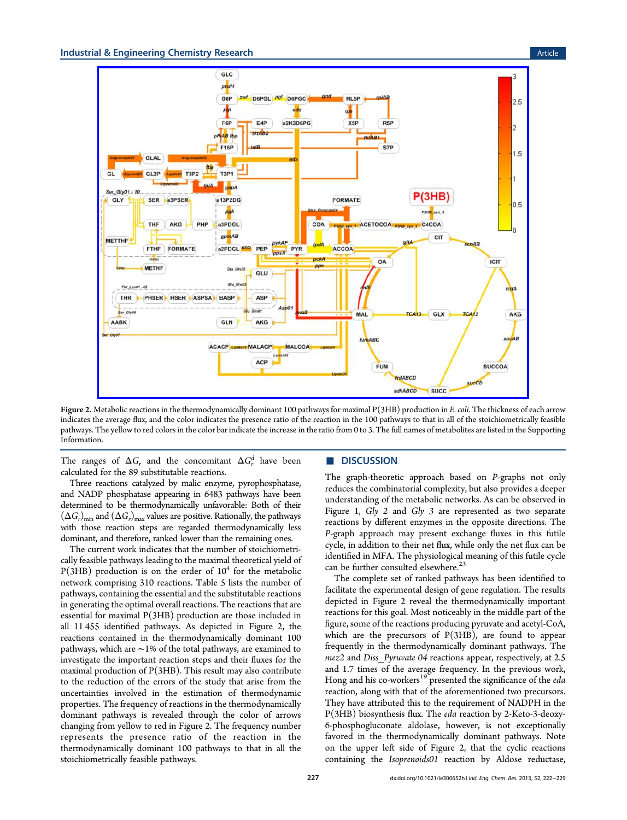

Figure 2. [Metabolic reactions in the thermodynamically dominant 100 pathways for maximal P\(3HB\) production in](http://pubs.acs.org/action/showImage?doi=10.1021/ie300652h&iName=master.img-001.jpg&w=425&h=326) E. coli. The thickness of each arrow indicates the average flux, and the color indicates the presence ratio of the reaction in the 100 pathways to that in all of the stoichiometrically feasible pathways. The yellow to red colors in the color bar indicate the increase in the ratio from 0 to 3. The full names of metabolites are listed in the Supporting Information.

[The range](#page-7-0)s of  $\Delta G_r$  and the concomitant  $\Delta G_r^d$  have been calculated for the 89 substitutable reactions.

Three reactions catalyzed by malic enzyme, pyrophosphatase, and NADP phosphatase appearing in 6483 pathways have been determined to be thermodynamically unfavorable: Both of their  $(\Delta G_r)_{\text{min}}$  and  $(\Delta G_r)_{\text{max}}$  values are positive. Rationally, the pathways with those reaction steps are regarded thermodynamically less dominant, and therefore, ranked lower than the remaining ones.

The current work indicates that the number of stoichiometrically feasible pathways leading to the maximal theoretical yield of  $P(3HB)$  production is on the order of  $10<sup>4</sup>$  for the metabolic network comprising 310 reactions. Table 5 lists the number of pathways, containing the essential and the substitutable reactions in generating the optimal overall reactions. [T](#page-3-0)he reactions that are essential for maximal P(3HB) production are those included in all 11 455 identified pathways. As depicted in Figure 2, the reactions contained in the thermodynamically dominant 100 pathways, which are ∼1% of the total pathways, are examined to investigate the important reaction steps and their fluxes for the maximal production of P(3HB). This result may also contribute to the reduction of the errors of the study that arise from the uncertainties involved in the estimation of thermodynamic properties. The frequency of reactions in the thermodynamically dominant pathways is revealed through the color of arrows changing from yellow to red in Figure 2. The frequency number represents the presence ratio of the reaction in the thermodynamically dominant 100 pathways to that in all the stoichiometrically feasible pathways.

## ■ DISCUSSION

The graph-theoretic approach based on P-graphs not only reduces the combinatorial complexity, but also provides a deeper understanding of the metabolic networks. As can be observed in Figure 1, Gly 2 and Gly 3 are represented as two separate reactions by different enzymes in the opposite directions. The P-grap[h](#page-2-0) approach may present exchange fluxes in this futile cycle, in addition to their net flux, while only the net flux can be identified in MFA. The physiological meaning of this futile cycle can be further consulted elsewhere.<sup>23</sup>

The complete set of ranked pathways has been identified to facilitate the experimental design of [ge](#page-7-0)ne regulation. The results depicted in Figure 2 reveal the thermodynamically important reactions for this goal. Most noticeably in the middle part of the figure, some of the reactions producing pyruvate and acetyl-CoA, which are the precursors of  $P(3HB)$ , are found to appear frequently in the thermodynamically dominant pathways. The mez2 and Diss Pyruvate 04 reactions appear, respectively, at 2.5 and 1.7 times of the average frequency. In the previous work, Hong and his co-workers<sup>19</sup> presented the significance of the *eda* reaction, along with that of the aforementioned two precursors. They have attributed thi[s to](#page-7-0) the requirement of NADPH in the P(3HB) biosynthesis flux. The eda reaction by 2-Keto-3-deoxy-6-phosphogluconate aldolase, however, is not exceptionally favored in the thermodynamically dominant pathways. Note on the upper left side of Figure 2, that the cyclic reactions containing the Isoprenoids01 reaction by Aldose reductase,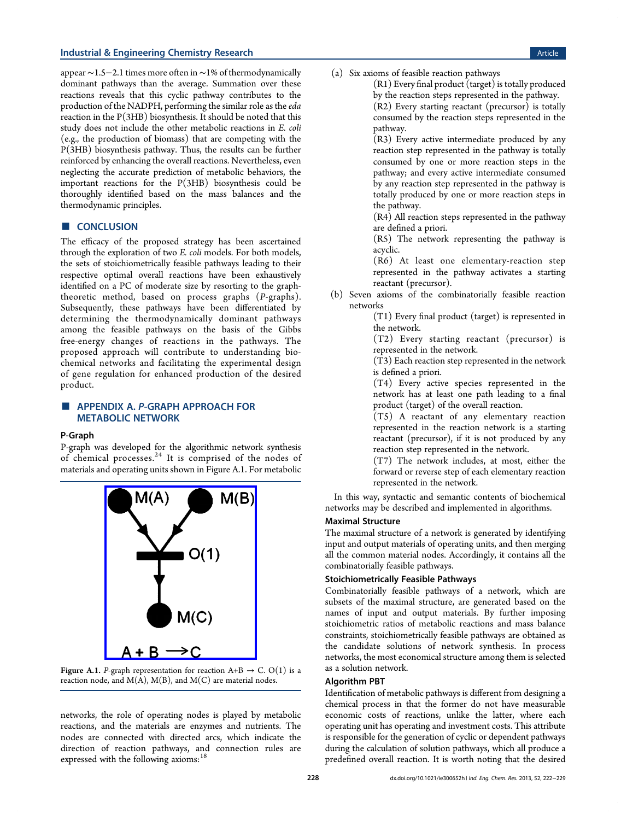appear ∼1.5−2.1 times more often in∼1% of thermodynamically dominant pathways than the average. Summation over these reactions reveals that this cyclic pathway contributes to the production of the NADPH, performing the similar role as the eda reaction in the  $P(3HB)$  biosynthesis. It should be noted that this study does not include the other metabolic reactions in E. coli (e.g., the production of biomass) that are competing with the P(3HB) biosynthesis pathway. Thus, the results can be further reinforced by enhancing the overall reactions. Nevertheless, even neglecting the accurate prediction of metabolic behaviors, the important reactions for the P(3HB) biosynthesis could be thoroughly identified based on the mass balances and the thermodynamic principles.

# ■ CONCLUSION

The efficacy of the proposed strategy has been ascertained through the exploration of two E. coli models. For both models, the sets of stoichiometrically feasible pathways leading to their respective optimal overall reactions have been exhaustively identified on a PC of moderate size by resorting to the graphtheoretic method, based on process graphs (P-graphs). Subsequently, these pathways have been differentiated by determining the thermodynamically dominant pathways among the feasible pathways on the basis of the Gibbs free-energy changes of reactions in the pathways. The proposed approach will contribute to understanding biochemical networks and facilitating the experimental design of gene regulation for enhanced production of the desired product.

# APPENDIX A. P-GRAPH APPROACH FOR METABOLIC NETWORK

#### P-Graph

P-graph was developed for the algorithmic network synthesis of chemical processes.<sup>24</sup> It is comprised of the nodes of materials and operating units shown in Figure A.1. For metabolic



Figure A.1. P[-graph representation for reaction A+B](http://pubs.acs.org/action/showImage?doi=10.1021/ie300652h&iName=master.img-002.png&w=146&h=168)  $\rightarrow$  C. O(1) is a reaction node, and  $M(A)$ ,  $M(B)$ , and  $M(C)$  are material nodes.

networks, the role of operating nodes is played by metabolic reactions, and the materials are enzymes and nutrients. The nodes are connected with directed arcs, which indicate the direction of reaction pathways, and connection rules are expressed with the following axioms:<sup>18</sup>

(a) Six axioms of feasible reaction pathways

(R1) Every final product (target) is totally produced by the reaction steps represented in the pathway.

(R2) Every starting reactant (precursor) is totally consumed by the reaction steps represented in the pathway.

(R3) Every active intermediate produced by any reaction step represented in the pathway is totally consumed by one or more reaction steps in the pathway; and every active intermediate consumed by any reaction step represented in the pathway is totally produced by one or more reaction steps in the pathway.

(R4) All reaction steps represented in the pathway are defined a priori.

(R5) The network representing the pathway is acyclic.

(R6) At least one elementary-reaction step represented in the pathway activates a starting reactant (precursor).

(b) Seven axioms of the combinatorially feasible reaction networks

> (T1) Every final product (target) is represented in the network.

> (T2) Every starting reactant (precursor) is represented in the network.

> (T3) Each reaction step represented in the network is defined a priori.

> (T4) Every active species represented in the network has at least one path leading to a final product (target) of the overall reaction.

> (T5) A reactant of any elementary reaction represented in the reaction network is a starting reactant (precursor), if it is not produced by any reaction step represented in the network.

> (T7) The network includes, at most, either the forward or reverse step of each elementary reaction represented in the network.

In this way, syntactic and semantic contents of biochemical networks may be described and implemented in algorithms.

## Maximal Structure

The maximal structure of a network is generated by identifying input and output materials of operating units, and then merging all the common material nodes. Accordingly, it contains all the combinatorially feasible pathways.

# Stoichiometrically Feasible Pathways

Combinatorially feasible pathways of a network, which are subsets of the maximal structure, are generated based on the names of input and output materials. By further imposing stoichiometric ratios of metabolic reactions and mass balance constraints, stoichiometrically feasible pathways are obtained as the candidate solutions of network synthesis. In process networks, the most economical structure among them is selected as a solution network.

#### Algorithm PBT

Identification of metabolic pathways is different from designing a chemical process in that the former do not have measurable economic costs of reactions, unlike the latter, where each operating unit has operating and investment costs. This attribute is responsible for the generation of cyclic or dependent pathways during the calculation of solution pathways, which all produce a predefined overall reaction. It is worth noting that the desired